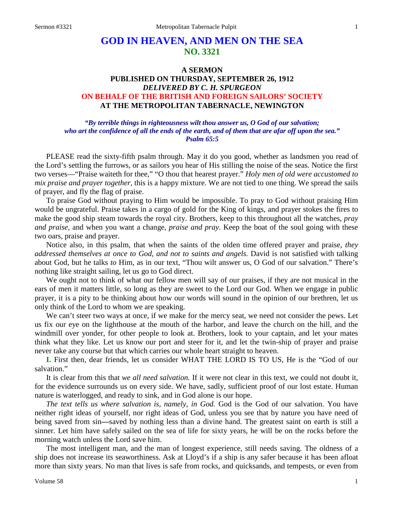## **GOD IN HEAVEN, AND MEN ON THE SEA NO. 3321**

## **A SERMON PUBLISHED ON THURSDAY, SEPTEMBER 26, 1912** *DELIVERED BY C. H. SPURGEON* **ON BEHALF OF THE BRITISH AND FOREIGN SAILORS' SOCIETY AT THE METROPOLITAN TABERNACLE, NEWINGTON**

*"By terrible things in righteousness wilt thou answer us, O God of our salvation; who art the confidence of all the ends of the earth, and of them that are afar off upon the sea." Psalm 65:5*

PLEASE read the sixty-fifth psalm through. May it do you good, whether as landsmen you read of the Lord's settling the furrows, or as sailors you hear of His stilling the noise of the seas. Notice the first two verses—"Praise waiteth for thee," "O thou that hearest prayer." *Holy men of old were accustomed to mix praise and prayer together,* this is a happy mixture. We are not tied to one thing. We spread the sails of prayer, and fly the flag of praise.

To praise God without praying to Him would be impossible. To pray to God without praising Him would be ungrateful. Praise takes in a cargo of gold for the King of kings, and prayer stokes the fires to make the good ship steam towards the royal city. Brothers, keep to this throughout all the watches, *pray and praise,* and when you want a change, *praise and pray.* Keep the boat of the soul going with these two oars, praise and prayer.

Notice also, in this psalm, that when the saints of the olden time offered prayer and praise, *they addressed themselves at once to God, and not to saints and angels.* David is not satisfied with talking about God, but he talks *to* Him, as in our text, "Thou wilt answer us, O God of our salvation." There's nothing like straight sailing, let us go to God direct.

We ought not to think of what our fellow men will say of our praises, if they are not musical in the ears of men it matters little, so long as they are sweet to the Lord our God. When we engage in public prayer, it is a pity to be thinking about how our words will sound in the opinion of our brethren, let us only think of the Lord to whom we are speaking.

We can't steer two ways at once, if we make for the mercy seat, we need not consider the pews. Let us fix our eye on the lighthouse at the mouth of the harbor, and leave the church on the hill, and the windmill over yonder, for other people to look at. Brothers, look to your captain, and let your mates think what they like. Let us know our port and steer for it, and let the twin-ship of prayer and praise never take any course but that which carries our whole heart straight to heaven.

**I.** First then, dear friends, let us consider WHAT THE LORD IS TO US, He is the "God of our salvation."

It is clear from this that *we all need salvation.* If it were not clear in this text, we could not doubt it, for the evidence surrounds us on every side. We have, sadly, sufficient proof of our lost estate. Human nature is waterlogged, and ready to sink, and in God alone is our hope.

*The text tells us where salvation is, namely, in God.* God is the God of our salvation. You have neither right ideas of yourself, nor right ideas of God, unless you see that by nature you have need of being saved from sin**—**saved by nothing less than a divine hand. The greatest saint on earth is still a sinner. Let him have safely sailed on the sea of life for sixty years, he will be on the rocks before the morning watch unless the Lord save him.

The most intelligent man, and the man of longest experience, still needs saving. The oldness of a ship does not increase its seaworthiness. Ask at Lloyd's if a ship is any safer because it has been afloat more than sixty years. No man that lives is safe from rocks, and quicksands, and tempests, or even from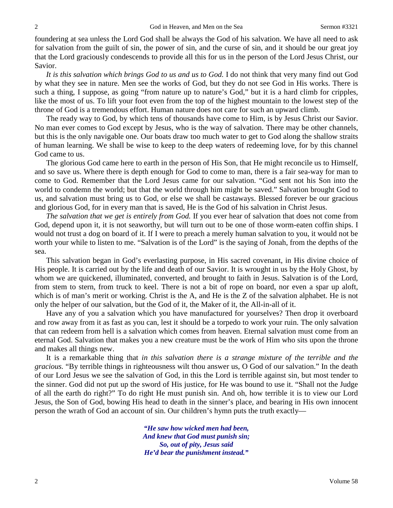foundering at sea unless the Lord God shall be always the God of his salvation. We have all need to ask for salvation from the guilt of sin, the power of sin, and the curse of sin, and it should be our great joy that the Lord graciously condescends to provide all this for us in the person of the Lord Jesus Christ, our Savior.

*It is this salvation which brings God to us and us to God.* I do not think that very many find out God by what they see in nature. Men see the works of God, but they do not see God in His works. There is such a thing, I suppose, as going "from nature up to nature's God," but it is a hard climb for cripples, like the most of us. To lift your foot even from the top of the highest mountain to the lowest step of the throne of God is a tremendous effort. Human nature does not care for such an upward climb.

The ready way to God, by which tens of thousands have come to Him, is by Jesus Christ our Savior. No man ever comes to God except by Jesus, who is the way of salvation. There may be other channels, but this is the only navigable one. Our boats draw too much water to get to God along the shallow straits of human learning. We shall be wise to keep to the deep waters of redeeming love, for by this channel God came to us.

The glorious God came here to earth in the person of His Son, that He might reconcile us to Himself, and so save us. Where there is depth enough for God to come to man, there is a fair sea-way for man to come to God. Remember that the Lord Jesus came for our salvation. "God sent not his Son into the world to condemn the world; but that the world through him might be saved." Salvation brought God to us, and salvation must bring us to God, or else we shall be castaways. Blessed forever be our gracious and glorious God, for in every man that is saved, He is the God of his salvation in Christ Jesus.

*The salvation that we get is entirely from God.* If you ever hear of salvation that does not come from God, depend upon it, it is not seaworthy, but will turn out to be one of those worm-eaten coffin ships. I would not trust a dog on board of it. If I were to preach a merely human salvation to you, it would not be worth your while to listen to me. "Salvation is of the Lord" is the saying of Jonah, from the depths of the sea.

This salvation began in God's everlasting purpose, in His sacred covenant, in His divine choice of His people. It is carried out by the life and death of our Savior. It is wrought in us by the Holy Ghost, by whom we are quickened, illuminated, converted, and brought to faith in Jesus. Salvation is of the Lord, from stem to stern, from truck to keel. There is not a bit of rope on board, nor even a spar up aloft, which is of man's merit or working. Christ is the A, and He is the Z of the salvation alphabet. He is not only the helper of our salvation, but the God of it, the Maker of it, the All-in-all of it.

Have any of you a salvation which you have manufactured for yourselves? Then drop it overboard and row away from it as fast as you can, lest it should be a torpedo to work your ruin. The only salvation that can redeem from hell is a salvation which comes from heaven. Eternal salvation must come from an eternal God. Salvation that makes you a new creature must be the work of Him who sits upon the throne and makes all things new.

It is a remarkable thing that *in this salvation there is a strange mixture of the terrible and the gracious.* "By terrible things in righteousness wilt thou answer us, O God of our salvation." In the death of our Lord Jesus we see the salvation of God, in this the Lord is terrible against sin, but most tender to the sinner. God did not put up the sword of His justice, for He was bound to use it. "Shall not the Judge of all the earth do right?" To do right He must punish sin. And oh, how terrible it is to view our Lord Jesus, the Son of God, bowing His head to death in the sinner's place, and bearing in His own innocent person the wrath of God an account of sin. Our children's hymn puts the truth exactly—

> *"He saw how wicked men had been, And knew that God must punish sin; So, out of pity, Jesus said He'd bear the punishment instead."*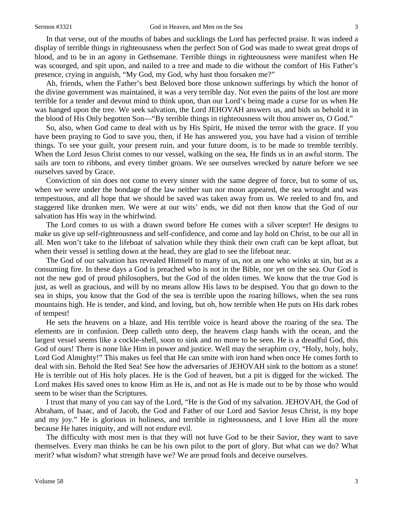In that verse, out of the mouths of babes and sucklings the Lord has perfected praise. It was indeed a display of terrible things in righteousness when the perfect Son of God was made to sweat great drops of blood, and to be in an agony in Gethsemane. Terrible things in righteousness were manifest when He was scourged, and spit upon, and nailed to a tree and made to die without the comfort of His Father's presence, crying in anguish, "My God, my God, why hast thou forsaken me?"

Ah, friends, when the Father's best Beloved bore those unknown sufferings by which the honor of the divine government was maintained, it was a very terrible day. Not even the pains of the lost are more terrible for a tender and devout mind to think upon, than our Lord's being made a curse for us when He was hanged upon the tree. We seek salvation, the Lord JEHOVAH answers us, and bids us behold it in the blood of His Only begotten Son—"By terrible things in righteousness wilt thou answer us, O God."

So, also, when God came to deal with us by His Spirit, He mixed the terror with the grace. If you have been praying to God to save you, then, if He has answered you, you have had a vision of terrible things. To see your guilt, your present ruin, and your future doom, is to be made to tremble terribly. When the Lord Jesus Christ comes to our vessel, walking on the sea, He finds us in an awful storm. The sails are torn to ribbons, and every timber groans. We see ourselves wrecked by nature before we see ourselves saved by Grace.

Conviction of sin does not come to every sinner with the same degree of force, but to some of us, when we were under the bondage of the law neither sun nor moon appeared, the sea wrought and was tempestuous, and all hope that we should be saved was taken away from us. We reeled to and fro, and staggered like drunken men. We were at our wits' ends, we did not then know that the God of our salvation has His way in the whirlwind.

The Lord comes to us with a drawn sword before He comes with a silver scepter! He designs to make us give up self-righteousness and self-confidence, and come and lay hold on Christ, to be our all in all. Men won't take to the lifeboat of salvation while they think their own craft can be kept afloat, but when their vessel is settling down at the head, they are glad to see the lifeboat near.

The God of our salvation has revealed Himself to many of us, not as one who winks at sin, but as a consuming fire. In these days a God is preached who is not in the Bible, nor yet on the sea. Our God is not the new god of proud philosophers, but the God of the olden times. We know that the true God is just, as well as gracious, and will by no means allow His laws to be despised. You that go down to the sea in ships, you know that the God of the sea is terrible upon the roaring billows, when the sea runs mountains high. He is tender, and kind, and loving, but oh, how terrible when He puts on His dark robes of tempest!

He sets the heavens on a blaze, and His terrible voice is heard above the roaring of the sea. The elements are in confusion. Deep calleth unto deep, the heavens clasp hands with the ocean, and the largest vessel seems like a cockle-shell, soon to sink and no more to be seen. He is a dreadful God, this God of ours! There is none like Him in power and justice. Well may the seraphim cry, "Holy, holy, holy, Lord God Almighty!" This makes us feel that He can smite with iron hand when once He comes forth to deal with sin. Behold the Red Sea! See how the adversaries of JEHOVAH sink to the bottom as a stone! He is terrible out of His holy places. He is the God of heaven, but a pit is digged for the wicked. The Lord makes His saved ones to know Him as He is, and not as He is made out to be by those who would seem to be wiser than the Scriptures.

I trust that many of you can say of the Lord, "He is the God of my salvation. JEHOVAH, the God of Abraham, of Isaac, and of Jacob, the God and Father of our Lord and Savior Jesus Christ, is my hope and my joy." He is glorious in holiness, and terrible in righteousness, and I love Him all the more because He hates iniquity, and will not endure evil.

The difficulty with most men is that they will not have God to be their Savior, they want to save themselves. Every man thinks he can be his own pilot to the port of glory. But what can we do? What merit? what wisdom? what strength have we? We are proud fools and deceive ourselves.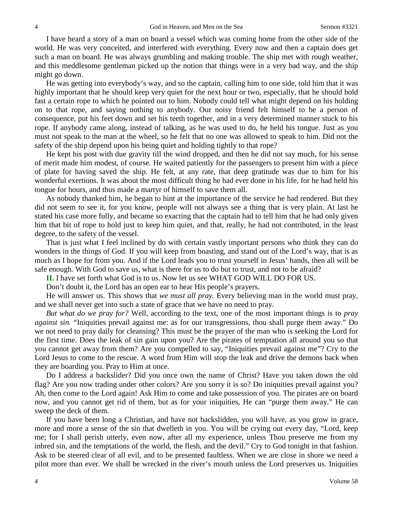I have heard a story of a man on board a vessel which was coming home from the other side of the world. He was very conceited, and interfered with everything. Every now and then a captain does get such a man on board. He was always grumbling and making trouble. The ship met with rough weather, and this meddlesome gentleman picked up the notion that things were in a very bad way, and the ship might go down.

He was getting into everybody's way, and so the captain, calling him to one side, told him that it was highly important that he should keep very quiet for the next hour or two, especially, that he should hold fast a certain rope to which he pointed out to him. Nobody could tell what might depend on his holding on to that rope, and saying nothing to anybody. Our noisy friend felt himself to be a person of consequence, put his feet down and set his teeth together, and in a very determined manner stuck to his rope. If anybody came along, instead of talking, as he was used to do, he held his tongue. Just as you must not speak to the man at the wheel, so he felt that no one was allowed to speak to him. Did not the safety of the ship depend upon his being quiet and holding tightly to that rope?

He kept his post with due gravity till the wind dropped, and then he did not say much, for his sense of merit made him modest, of course. He waited patiently for the passengers to present him with a piece of plate for having saved the ship. He felt, at any rate, that deep gratitude was due to him for his wonderful exertions. It was about the most difficult thing he had ever done in his life, for he had held his tongue for hours, and thus made a martyr of himself to save them all.

As nobody thanked him, he began to hint at the importance of the service he had rendered. But they did not seem to see it, for you know, people will not always see a thing that is very plain. At last he stated his case more fully, and became so exacting that the captain had to tell him that he had only given him that bit of rope to hold just to keep him quiet, and that, really, he had not contributed, in the least degree, to the safety of the vessel.

That is just what I feel inclined by do with certain vastly important persons who think they can do wonders in the things of God. If you will keep from boasting, and stand out of the Lord's way, that is as much as I hope for from you. And if the Lord leads you to trust yourself in Jesus' hands, then all will be safe enough. With God to save us, what is there for us to do but to trust, and not to be afraid?

**II.** I have set forth what God is to us. Now let us see WHAT GOD WILL DO FOR US.

Don't doubt it, the Lord has an open ear to hear His people's prayers.

He will answer us. This shows that *we must all pray.* Every believing man in the world must pray, and we shall never get into such a state of grace that we have no need to pray.

*But what do we pray for?* Well, according to the text, one of the most important things is to *pray against sin.* "Iniquities prevail against me: as for our transgressions, thou shall purge them away." Do we not need to pray daily for cleansing? This must be the prayer of the man who is seeking the Lord for the first time. Does the leak of sin gain upon you? Are the pirates of temptation all around you so that you cannot get away from them? Are you compelled to say, "Iniquities prevail against me"? Cry to the Lord Jesus to come to the rescue. A word from Him will stop the leak and drive the demons back when they are boarding you. Pray to Him at once.

Do I address a backslider? Did you once own the name of Christ? Have you taken down the old flag? Are you now trading under other colors? Are you sorry it is so? Do iniquities prevail against you? Ah, then come to the Lord again! Ask Him to come and take possession of you. The pirates are on board now, and you cannot get rid of them, but as for your iniquities, He can "purge them away." He can sweep the deck of them.

If you have been long a Christian, and have not backslidden, you will have, as you grow in grace, more and more a sense of the sin that dwelleth in you. You will be crying out every day, "Lord, keep me; for I shall perish utterly, even now, after all my experience, unless Thou preserve me from my inbred sin, and the temptations of the world, the flesh, and the devil." Cry to God tonight in that fashion. Ask to be steered clear of all evil, and to be presented faultless. When we are close in shore we need a pilot more than ever. We shall be wrecked in the river's mouth unless the Lord preserves us. Iniquities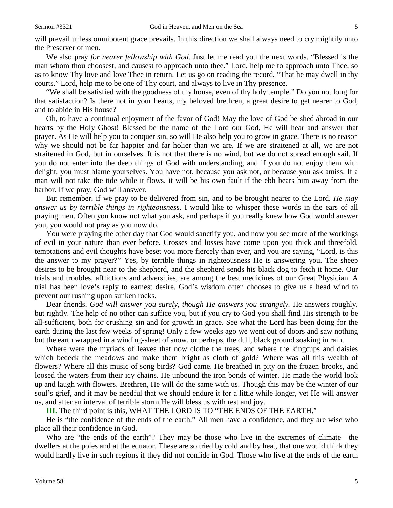will prevail unless omnipotent grace prevails. In this direction we shall always need to cry mightily unto the Preserver of men.

We also pray *for nearer fellowship with God.* Just let me read you the next words. "Blessed is the man whom thou choosest, and causest to approach unto thee." Lord, help me to approach unto Thee, so as to know Thy love and love Thee in return. Let us go on reading the record, "That he may dwell in thy courts." Lord, help me to be one of Thy court, and always to live in Thy presence.

"We shall be satisfied with the goodness of thy house, even of thy holy temple." Do you not long for that satisfaction? Is there not in your hearts, my beloved brethren, a great desire to get nearer to God, and to abide in His house?

Oh, to have a continual enjoyment of the favor of God! May the love of God be shed abroad in our hearts by the Holy Ghost! Blessed be the name of the Lord our God, He will hear and answer that prayer. As He will help you to conquer sin, so will He also help you to grow in grace. There is no reason why we should not be far happier and far holier than we are. If we are straitened at all, we are not straitened in God, but in ourselves. It is not that there is no wind, but we do not spread enough sail. If you do not enter into the deep things of God with understanding, and if you do not enjoy them with delight, you must blame yourselves. You have not, because you ask not, or because you ask amiss. If a man will not take the tide while it flows, it will be his own fault if the ebb bears him away from the harbor. If we pray, God will answer.

But remember, if we pray to be delivered from sin, and to be brought nearer to the Lord, *He may answer us by terrible things in righteousness.* I would like to whisper these words in the ears of all praying men. Often you know not what you ask, and perhaps if you really knew how God would answer you, you would not pray as you now do.

You were praying the other day that God would sanctify you, and now you see more of the workings of evil in your nature than ever before. Crosses and losses have come upon you thick and threefold, temptations and evil thoughts have beset you more fiercely than ever, and you are saying, "Lord, is this the answer to my prayer?" Yes, by terrible things in righteousness He is answering you. The sheep desires to be brought near to the shepherd, and the shepherd sends his black dog to fetch it home. Our trials and troubles, afflictions and adversities, are among the best medicines of our Great Physician. A trial has been love's reply to earnest desire. God's wisdom often chooses to give us a head wind to prevent our rushing upon sunken rocks.

Dear friends, *God will answer you surely, though He answers you strangely.* He answers roughly, but rightly. The help of no other can suffice you, but if you cry to God you shall find His strength to be all-sufficient, both for crushing sin and for growth in grace. See what the Lord has been doing for the earth during the last few weeks of spring! Only a few weeks ago we went out of doors and saw nothing but the earth wrapped in a winding-sheet of snow, or perhaps, the dull, black ground soaking in rain.

Where were the myriads of leaves that now clothe the trees, and where the kingcups and daisies which bedeck the meadows and make them bright as cloth of gold? Where was all this wealth of flowers? Where all this music of song birds? God came. He breathed in pity on the frozen brooks, and loosed the waters from their icy chains. He unbound the iron bonds of winter. He made the world look up and laugh with flowers. Brethren, He will do the same with us. Though this may be the winter of our soul's grief, and it may be needful that we should endure it for a little while longer, yet He will answer us, and after an interval of terrible storm He will bless us with rest and joy.

**III.** The third point is this, WHAT THE LORD IS TO "THE ENDS OF THE EARTH."

He is "the confidence of the ends of the earth." All men have a confidence, and they are wise who place all their confidence in God.

Who are "the ends of the earth"? They may be those who live in the extremes of climate—the dwellers at the poles and at the equator. These are so tried by cold and by heat, that one would think they would hardly live in such regions if they did not confide in God. Those who live at the ends of the earth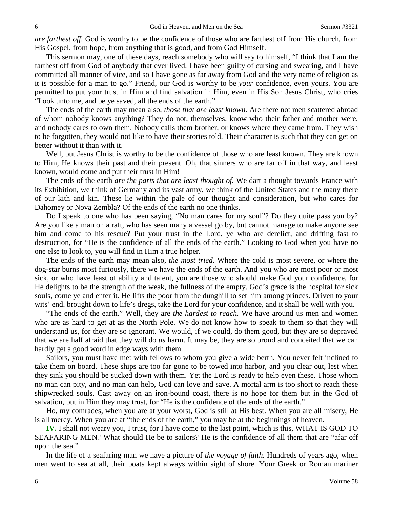*are farthest off.* God is worthy to be the confidence of those who are farthest off from His church, from His Gospel, from hope, from anything that is good, and from God Himself.

This sermon may, one of these days, reach somebody who will say to himself, "I think that I am the farthest off from God of anybody that ever lived. I have been guilty of cursing and swearing, and I have committed all manner of vice, and so I have gone as far away from God and the very name of religion as it is possible for a man to go." Friend, our God is worthy to be *your* confidence, even yours. You are permitted to put your trust in Him and find salvation in Him, even in His Son Jesus Christ, who cries "Look unto me, and be ye saved, all the ends of the earth."

The ends of the earth may mean also, *those that are least known.* Are there not men scattered abroad of whom nobody knows anything? They do not, themselves, know who their father and mother were, and nobody cares to own them. Nobody calls them brother, or knows where they came from. They wish to be forgotten, they would not like to have their stories told. Their character is such that they can get on better without it than with it.

Well, but Jesus Christ is worthy to be the confidence of those who are least known. They are known to Him, He knows their past and their present. Oh, that sinners who are far off in that way, and least known, would come and put their trust in Him!

The ends of the earth *are the parts that are least thought of.* We dart a thought towards France with its Exhibition, we think of Germany and its vast army, we think of the United States and the many there of our kith and kin. These lie within the pale of our thought and consideration, but who cares for Dahomey or Nova Zembla? Of the ends of the earth no one thinks.

Do I speak to one who has been saying, "No man cares for my soul"? Do they quite pass you by? Are you like a man on a raft, who has seen many a vessel go by, but cannot manage to make anyone see him and come to his rescue? Put your trust in the Lord, ye who are derelict, and drifting fast to destruction, for "He is the confidence of all the ends of the earth." Looking to God when you have no one else to look to, you will find in Him a true helper.

The ends of the earth may mean also, *the most tried.* Where the cold is most severe, or where the dog-star burns most furiously, there we have the ends of the earth. And you who are most poor or most sick, or who have least of ability and talent, you are those who should make God your confidence, for He delights to be the strength of the weak, the fullness of the empty. God's grace is the hospital for sick souls, come ye and enter it. He lifts the poor from the dunghill to set him among princes. Driven to your wits' end, brought down to life's dregs, take the Lord for your confidence, and it shall be well with you.

"The ends of the earth." Well, they are *the hardest to reach.* We have around us men and women who are as hard to get at as the North Pole. We do not know how to speak to them so that they will understand us, for they are so ignorant. We would, if we could, do them good, but they are so depraved that we are half afraid that they will do *us* harm. It may be, they are so proud and conceited that we can hardly get a good word in edge ways with them.

Sailors, you must have met with fellows to whom you give a wide berth. You never felt inclined to take them on board. These ships are too far gone to be towed into harbor, and you clear out, lest when they sink you should be sucked down with them. Yet the Lord is ready to help even these. Those whom no man can pity, and no man can help, God can love and save. A mortal arm is too short to reach these shipwrecked souls. Cast away on an iron-bound coast, there is no hope for them but in the God of salvation, but in Him they may trust, for "He is the confidence of the ends of the earth."

Ho, my comrades, when you are at your worst, God is still at His best. When you are all misery, He is all mercy. When you are at "the ends of the earth," you may be at the beginnings of heaven.

**IV.** I shall not weary you, I trust, for I have come to the last point, which is this, WHAT IS GOD TO SEAFARING MEN? What should He be to sailors? He is the confidence of all them that are "afar off upon the sea."

In the life of a seafaring man we have a picture of *the voyage of faith.* Hundreds of years ago, when men went to sea at all, their boats kept always within sight of shore. Your Greek or Roman mariner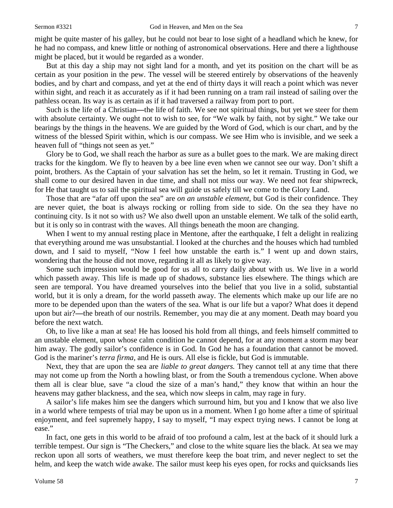might be quite master of his galley, but he could not bear to lose sight of a headland which he knew, for he had no compass, and knew little or nothing of astronomical observations. Here and there a lighthouse might be placed, but it would be regarded as a wonder.

But at this day a ship may not sight land for a month, and yet its position on the chart will be as certain as your position in the pew. The vessel will be steered entirely by observations of the heavenly bodies, and by chart and compass, and yet at the end of thirty days it will reach a point which was never within sight, and reach it as accurately as if it had been running on a tram rail instead of sailing over the pathless ocean. Its way is as certain as if it had traversed a railway from port to port.

Such is the life of a Christian**—**the life of faith. We see not spiritual things, but yet we steer for them with absolute certainty. We ought not to wish to see, for "We walk by faith, not by sight." We take our bearings by the things in the heavens. We are guided by the Word of God, which is our chart, and by the witness of the blessed Spirit within, which is our compass. We see Him who is invisible, and we seek a heaven full of "things not seen as yet."

Glory be to God, we shall reach the harbor as sure as a bullet goes to the mark. We are making direct tracks for the kingdom. We fly to heaven by a bee line even when we cannot see our way. Don't shift a point, brothers. As the Captain of your salvation has set the helm, so let it remain. Trusting in God, we shall come to our desired haven in due time, and shall not miss our way. We need not fear shipwreck, for He that taught us to sail the spiritual sea will guide us safely till we come to the Glory Land.

Those that are "afar off upon the sea" are *on an unstable element,* but God is their confidence. They are never quiet, the boat is always rocking or rolling from side to side. On the sea they have no continuing city. Is it not so with us? We also dwell upon an unstable element. We talk of the solid earth, but it is only so in contrast with the waves. All things beneath the moon are changing.

When I went to my annual resting place in Mentone, after the earthquake, I felt a delight in realizing that everything around me was unsubstantial. I looked at the churches and the houses which had tumbled down, and I said to myself, "Now I feel how unstable the earth is." I went up and down stairs, wondering that the house did not move, regarding it all as likely to give way.

Some such impression would be good for us all to carry daily about with us. We live in a world which passeth away. This life is made up of shadows, substance lies elsewhere. The things which are seen are temporal. You have dreamed yourselves into the belief that you live in a solid, substantial world, but it is only a dream, for the world passeth away. The elements which make up our life are no more to be depended upon than the waters of the sea. What is our life but a vapor? What does it depend upon but air?**—**the breath of our nostrils. Remember, you may die at any moment. Death may board you before the next watch.

Oh, to live like a man at sea! He has loosed his hold from all things, and feels himself committed to an unstable element, upon whose calm condition he cannot depend, for at any moment a storm may bear him away. The godly sailor's confidence is in God. In God he has a foundation that cannot be moved. God is the mariner's *terra firma,* and He is ours. All else is fickle, but God is immutable.

Next, they that are upon the sea are *liable to great dangers.* They cannot tell at any time that there may not come up from the North a howling blast, or from the South a tremendous cyclone. When above them all is clear blue, save "a cloud the size of a man's hand," they know that within an hour the heavens may gather blackness, and the sea, which now sleeps in calm, may rage in fury.

A sailor's life makes him see the dangers which surround him, but you and I know that we also live in a world where tempests of trial may be upon us in a moment. When I go home after a time of spiritual enjoyment, and feel supremely happy, I say to myself, "I may expect trying news. I cannot be long at ease."

In fact, one gets in this world to be afraid of too profound a calm, lest at the back of it should lurk a terrible tempest. Our sign is "The Checkers," and close to the white square lies the black. At sea we may reckon upon all sorts of weathers, we must therefore keep the boat trim, and never neglect to set the helm, and keep the watch wide awake. The sailor must keep his eyes open, for rocks and quicksands lies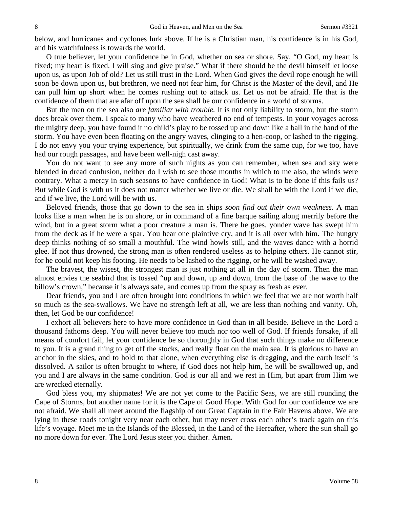below, and hurricanes and cyclones lurk above. If he is a Christian man, his confidence is in his God, and his watchfulness is towards the world.

O true believer, let your confidence be in God, whether on sea or shore. Say, "O God, my heart is fixed; my heart is fixed. I will sing and give praise." What if there should be the devil himself let loose upon us, as upon Job of old? Let us still trust in the Lord. When God gives the devil rope enough he will soon be down upon us, but brethren, we need not fear him, for Christ is the Master of the devil, and He can pull him up short when he comes rushing out to attack us. Let us not be afraid. He that is the confidence of them that are afar off upon the sea shall be our confidence in a world of storms.

But the men on the sea also *are familiar with trouble.* It is not only liability to storm, but the storm does break over them. I speak to many who have weathered no end of tempests. In your voyages across the mighty deep, you have found it no child's play to be tossed up and down like a ball in the hand of the storm. You have even been floating on the angry waves, clinging to a hen-coop, or lashed to the rigging. I do not envy you your trying experience, but spiritually, we drink from the same cup, for we too, have had our rough passages, and have been well-nigh cast away.

You do not want to see any more of such nights as you can remember, when sea and sky were blended in dread confusion, neither do I wish to see those months in which to me also, the winds were contrary. What a mercy in such seasons to have confidence in God! What is to be done if this fails us? But while God is with us it does not matter whether we live or die. We shall be with the Lord if we die, and if we live, the Lord will be with us.

Beloved friends, those that go down to the sea in ships *soon find out their own weakness.* A man looks like a man when he is on shore, or in command of a fine barque sailing along merrily before the wind, but in a great storm what a poor creature a man is. There he goes, yonder wave has swept him from the deck as if he were a spar. You hear one plaintive cry, and it is all over with him. The hungry deep thinks nothing of so small a mouthful. The wind howls still, and the waves dance with a horrid glee. If not thus drowned, the strong man is often rendered useless as to helping others. He cannot stir, for he could not keep his footing. He needs to be lashed to the rigging, or he will be washed away.

The bravest, the wisest, the strongest man is just nothing at all in the day of storm. Then the man almost envies the seabird that is tossed "up and down, up and down, from the base of the wave to the billow's crown," because it is always safe, and comes up from the spray as fresh as ever.

Dear friends, you and I are often brought into conditions in which we feel that we are not worth half so much as the sea-swallows. We have no strength left at all, we are less than nothing and vanity. Oh, then, let God be our confidence!

I exhort all believers here to have more confidence in God than in all beside. Believe in the Lord a thousand fathoms deep. You will never believe too much nor too well of God. If friends forsake, if all means of comfort fail, let your confidence be so thoroughly in God that such things make no difference to you. It is a grand thing to get off the stocks, and really float on the main sea. It is glorious to have an anchor in the skies, and to hold to that alone, when everything else is dragging, and the earth itself is dissolved. A sailor is often brought to where, if God does not help him, he will be swallowed up, and you and I are always in the same condition. God is our all and we rest in Him, but apart from Him we are wrecked eternally.

God bless you, my shipmates! We are not yet come to the Pacific Seas, we are still rounding the Cape of Storms, but another name for it is the Cape of Good Hope. With God for our confidence we are not afraid. We shall all meet around the flagship of our Great Captain in the Fair Havens above. We are lying in these roads tonight very near each other, but may never cross each other's track again on this life's voyage. Meet me in the Islands of the Blessed, in the Land of the Hereafter, where the sun shall go no more down for ever. The Lord Jesus steer you thither. Amen.